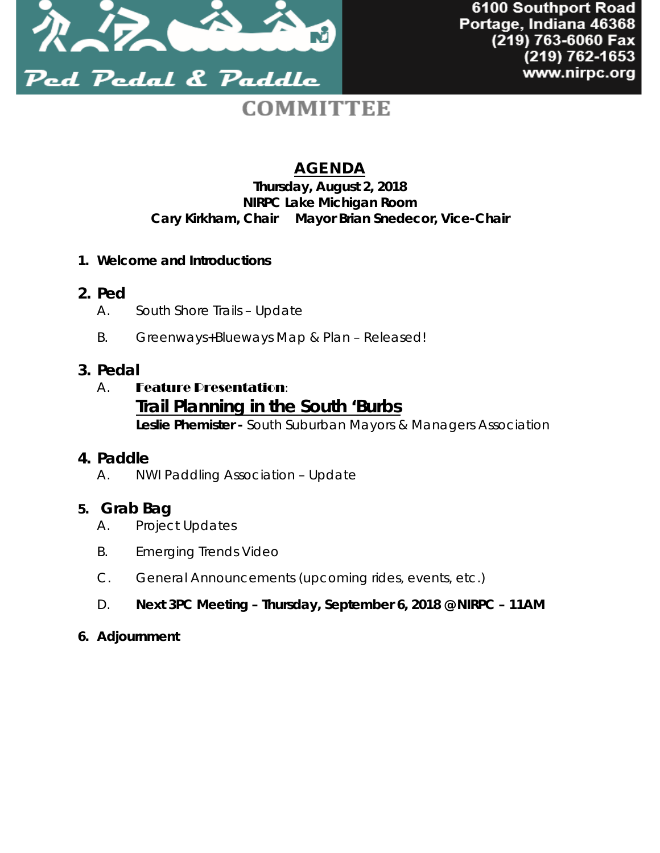

# **COMMITTEE**

# AGENDA

### **Thursday, August 2, 2018 NIRPC Lake Michigan Room Cary Kirkham,** *Chair* **Mayor Brian Snedecor,** *Vice-Chair*

- **1. Welcome and Introductions**
- **2. Ped**
	- A. South Shore Trails *Update*
	- B. Greenways+Blueways Map & Plan *Released!*

# **3. Pedal**

# A. Feature Presentation:

# **Trail Planning in the South 'Burbs**

**Leslie Phemister -** *South Suburban Mayors & Managers Association*

# **4. Paddle**

A. NWI Paddling Association – *Update*

# **5. Grab Bag**

- A. Project Updates
- B. Emerging Trends Video
- C. General Announcements (upcoming rides, events, etc.)
- D. **Next 3PC Meeting Thursday, September 6, 2018 @ NIRPC 11AM**

#### **6. Adjournment**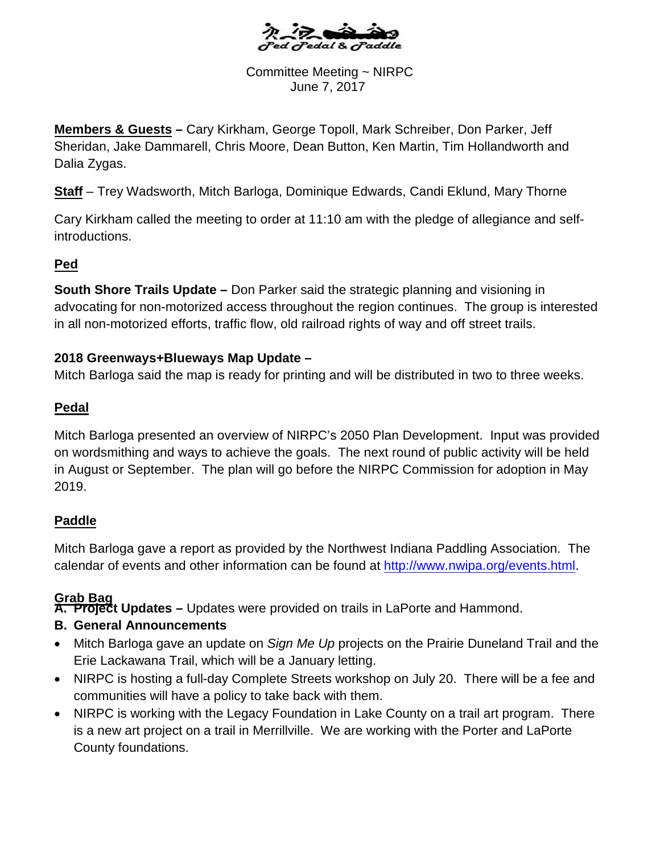

Committee Meeting ~ NIRPC June 7, 2017

**Members & Guests –** Cary Kirkham, George Topoll, Mark Schreiber, Don Parker, Jeff Sheridan, Jake Dammarell, Chris Moore, Dean Button, Ken Martin, Tim Hollandworth and Dalia Zygas.

**Staff** – Trey Wadsworth, Mitch Barloga, Dominique Edwards, Candi Eklund, Mary Thorne

Cary Kirkham called the meeting to order at 11:10 am with the pledge of allegiance and selfintroductions.

# **Ped**

**South Shore Trails Update –** Don Parker said the strategic planning and visioning in advocating for non-motorized access throughout the region continues. The group is interested in all non-motorized efforts, traffic flow, old railroad rights of way and off street trails.

#### **2018 Greenways+Blueways Map Update –**

Mitch Barloga said the map is ready for printing and will be distributed in two to three weeks.

# **Pedal**

Mitch Barloga presented an overview of NIRPC's 2050 Plan Development. Input was provided on wordsmithing and ways to achieve the goals. The next round of public activity will be held in August or September. The plan will go before the NIRPC Commission for adoption in May 2019.

# **Paddle**

Mitch Barloga gave a report as provided by the Northwe[st Indiana Paddling Association. T](http://www.nwipa.org/events.html)he calendar of events and other information can be found at http://www.nwipa.org/events.html.

# **Grab Bag**

**A. Project Updates –** Updates were provided on trails in LaPorte and Hammond.

# **B. General Announcements**

- Mitch Barloga gave an update on *Sign Me Up* projects on the Prairie Duneland Trail and the Erie Lackawana Trail, which will be a January letting.
- NIRPC is hosting a full-day Complete Streets workshop on July 20. There will be a fee and communities will have a policy to take back with them.
- NIRPC is working with the Legacy Foundation in Lake County on a trail art program. There is a new art project on a trail in Merrillville. We are working with the Porter and LaPorte County foundations.